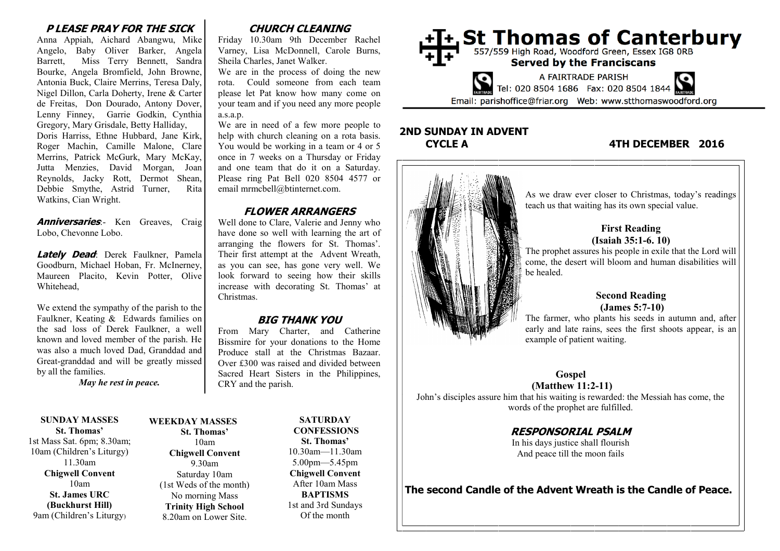#### **P LEASE PRAY FOR THE SICK**

Anna Appiah, Aichard Abangwu, Mike Angelo, Baby Oliver Barker, Angela Barrett, Miss Terry Bennett, Sandra Bourke, Angela Bromfield, John Browne, Antonia Buck, Claire Merrins, Teresa Daly, Nigel Dillon, Carla Doherty, Irene & Carter de Freitas, Don Dourado, Antony Dover, Lenny Finney, Garrie Godkin, Cynthia Gregory, Mary Grisdale, Betty Halliday, Doris Harriss, Ethne Hubbard, Jane Kirk, Roger Machin, Camille Malone, Clare Merrins, Patrick McGurk, Mary McKay, Jutta Menzies, David Morgan, Joan Reynolds, Jacky Rott, Dermot Shean, Debbie Smythe, Astrid Turner, Rita Watkins, Cian Wright.

**Anniversaries**: Ken Greaves, Craig Lobo, Chevonne Lobo.

**Lately Dead**: Derek Faulkner, Pamela Goodburn, Michael Hoban, Fr. McInerney, Maureen Placito, Kevin Potter, Olive Whitehead,

We extend the sympathy of the parish to the Faulkner, Keating & Edwards families on the sad loss of Derek Faulkner, a well known and loved member of the parish. He was also a much loved Dad, Granddad and Great-granddad and will be greatly missed by all the families.

*May he rest in peace.*

**SUNDAY MASSES St. Thomas'**

1st Mass Sat. 6pm; 8.30am; 10am (Children's Liturgy) 11.30am **Chigwell Convent** 10am **St. James URC (Buckhurst Hill)** 9am (Children's Liturgy)

#### **St. Thomas'** 10am **Chigwell Convent** 9.30am Saturday 10am (1st Weds of the month) No morning Mass **Trinity High School** 8.20am on Lower Site.

# **WEEKDAY MASSES**

10.30am—11.30am 5.00pm—5.45pm **Chigwell Convent** After 10am Mass **BAPTISMS** 1st and 3rd Sundays Of the month

**SATURDAY CONFESSIONS St. Thomas'**

# **CHURCH CLEANING**

Friday 10.30am 9th December Rachel Varney, Lisa McDonnell, Carole Burns, Sheila Charles, Janet Walker.

We are in the process of doing the new rota. Could someone from each team please let Pat know how many come on your team and if you need any more people a.s.a.p.

We are in need of a few more people to help with church cleaning on a rota basis. You would be working in a team or 4 or 5 once in 7 weeks on a Thursday or Friday and one team that do it on a Saturday. Please ring Pat Bell 020 8504 4577 or email mrmcbell@btinternet.com.

#### **FLOWER ARRANGERS**

Well done to Clare, Valerie and Jenny who have done so well with learning the art of arranging the flowers for St. Thomas'. Their first attempt at the Advent Wreath, as you can see, has gone very well. We look forward to seeing how their skills increase with decorating St. Thomas' at Christmas.

#### **BIG THANK YOU**

From Mary Charter, and Catherine Bissmire for your donations to the Home Produce stall at the Christmas Bazaar. Over £300 was raised and divided between Sacred Heart Sisters in the Philippines, CRY and the parish.



# **2ND SUNDAY IN ADVENT**

#### **CYCLE A 4TH DECEMBER 2016**



**The second Candle of the Advent Wreath is the Candle of Peace.**